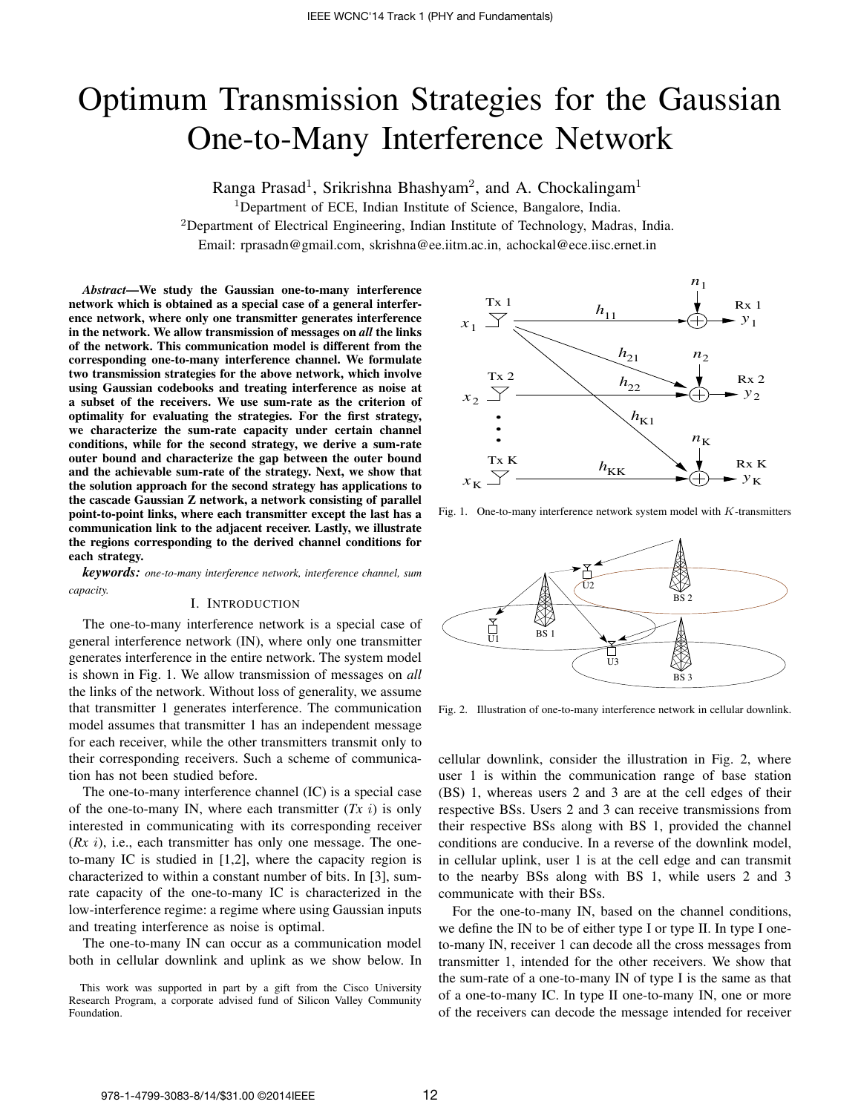# Optimum Transmission Strategies for the Gaussian One-to-Many Interference Network

Ranga Prasad<sup>1</sup>, Srikrishna Bhashyam<sup>2</sup>, and A. Chockalingam<sup>1</sup>

<sup>1</sup>Department of ECE, Indian Institute of Science, Bangalore, India.

<sup>2</sup>Department of Electrical Engineering, Indian Institute of Technology, Madras, India.

Email: rprasadn@gmail.com, skrishna@ee.iitm.ac.in, achockal@ece.iisc.ernet.in

*Abstract*—We study the Gaussian one-to-many interference network which is obtained as a special case of a general interference network, where only one transmitter generates interference in the network. We allow transmission of messages on *all* the links of the network. This communication model is different from the corresponding one-to-many interference channel. We formulate two transmission strategies for the above network, which involve using Gaussian codebooks and treating interference as noise at a subset of the receivers. We use sum-rate as the criterion of optimality for evaluating the strategies. For the first strategy, we characterize the sum-rate capacity under certain channel conditions, while for the second strategy, we derive a sum-rate outer bound and characterize the gap between the outer bound and the achievable sum-rate of the strategy. Next, we show that the solution approach for the second strategy has applications to the cascade Gaussian Z network, a network consisting of parallel point-to-point links, where each transmitter except the last has a communication link to the adjacent receiver. Lastly, we illustrate the regions corresponding to the derived channel conditions for each strategy.

*keywords: one-to-many interference network, interference channel, sum capacity.*

## I. INTRODUCTION

The one-to-many interference network is a special case of general interference network (IN), where only one transmitter generates interference in the entire network. The system model is shown in Fig. 1. We allow transmission of messages on *all* the links of the network. Without loss of generality, we assume that transmitter 1 generates interference. The communication model assumes that transmitter 1 has an independent message for each receiver, while the other transmitters transmit only to their corresponding receivers. Such a scheme of communication has not been studied before.

The one-to-many interference channel (IC) is a special case of the one-to-many IN, where each transmitter  $(Tx i)$  is only interested in communicating with its corresponding receiver (*Rx* i), i.e., each transmitter has only one message. The oneto-many IC is studied in [1,2], where the capacity region is characterized to within a constant number of bits. In [3], sumrate capacity of the one-to-many IC is characterized in the low-interference regime: a regime where using Gaussian inputs and treating interference as noise is optimal.

The one-to-many IN can occur as a communication model both in cellular downlink and uplink as we show below. In



Fig. 1. One-to-many interference network system model with K-transmitters



Fig. 2. Illustration of one-to-many interference network in cellular downlink.

cellular downlink, consider the illustration in Fig. 2, where user 1 is within the communication range of base station (BS) 1, whereas users 2 and 3 are at the cell edges of their respective BSs. Users 2 and 3 can receive transmissions from their respective BSs along with BS 1, provided the channel conditions are conducive. In a reverse of the downlink model, in cellular uplink, user 1 is at the cell edge and can transmit to the nearby BSs along with BS 1, while users 2 and 3 communicate with their BSs.

For the one-to-many IN, based on the channel conditions, we define the IN to be of either type I or type II. In type I oneto-many IN, receiver 1 can decode all the cross messages from transmitter 1, intended for the other receivers. We show that the sum-rate of a one-to-many IN of type I is the same as that of a one-to-many IC. In type II one-to-many IN, one or more of the receivers can decode the message intended for receiver

This work was supported in part by a gift from the Cisco University Research Program, a corporate advised fund of Silicon Valley Community Foundation.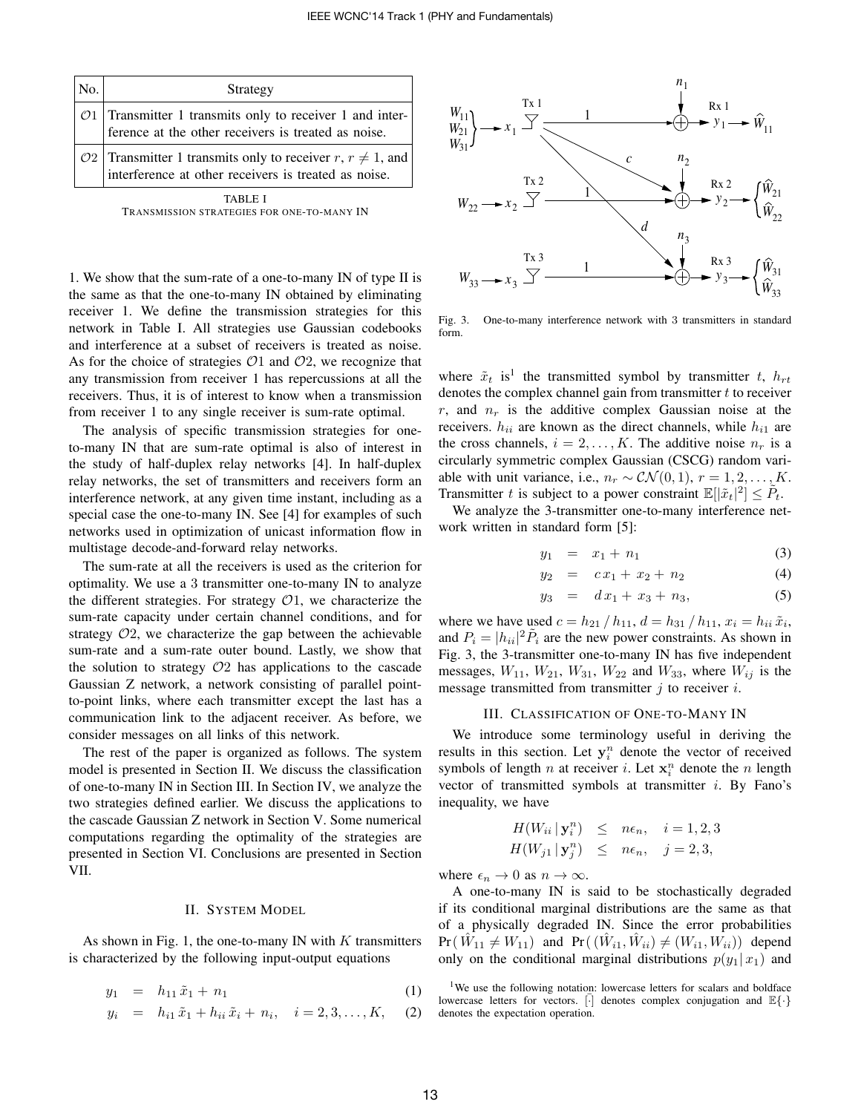| No. | Strategy                                                                                                                            |  |  |
|-----|-------------------------------------------------------------------------------------------------------------------------------------|--|--|
|     | $\mathcal{O}1$ Transmitter 1 transmits only to receiver 1 and inter-<br>ference at the other receivers is treated as noise.         |  |  |
|     | $\mathcal{O}2$ Transmitter 1 transmits only to receiver $r, r \neq 1$ , and<br>interference at other receivers is treated as noise. |  |  |
|     |                                                                                                                                     |  |  |

|                                            | 1731212 L |  |  |
|--------------------------------------------|-----------|--|--|
| TRANSMISSION STRATEGIES FOR ONE-TO-MANY IN |           |  |  |

1. We show that the sum-rate of a one-to-many IN of type II is the same as that the one-to-many IN obtained by eliminating receiver 1. We define the transmission strategies for this network in Table I. All strategies use Gaussian codebooks and interference at a subset of receivers is treated as noise. As for the choice of strategies  $O1$  and  $O2$ , we recognize that any transmission from receiver 1 has repercussions at all the receivers. Thus, it is of interest to know when a transmission from receiver 1 to any single receiver is sum-rate optimal.

The analysis of specific transmission strategies for oneto-many IN that are sum-rate optimal is also of interest in the study of half-duplex relay networks [4]. In half-duplex relay networks, the set of transmitters and receivers form an interference network, at any given time instant, including as a special case the one-to-many IN. See [4] for examples of such networks used in optimization of unicast information flow in multistage decode-and-forward relay networks.

The sum-rate at all the receivers is used as the criterion for optimality. We use a 3 transmitter one-to-many IN to analyze the different strategies. For strategy  $\mathcal{O}_1$ , we characterize the sum-rate capacity under certain channel conditions, and for strategy  $O2$ , we characterize the gap between the achievable sum-rate and a sum-rate outer bound. Lastly, we show that the solution to strategy  $O2$  has applications to the cascade Gaussian Z network, a network consisting of parallel pointto-point links, where each transmitter except the last has a communication link to the adjacent receiver. As before, we consider messages on all links of this network.

The rest of the paper is organized as follows. The system model is presented in Section II. We discuss the classification of one-to-many IN in Section III. In Section IV, we analyze the two strategies defined earlier. We discuss the applications to the cascade Gaussian Z network in Section V. Some numerical computations regarding the optimality of the strategies are presented in Section VI. Conclusions are presented in Section VII.

### II. SYSTEM MODEL

As shown in Fig. 1, the one-to-many IN with  $K$  transmitters is characterized by the following input-output equations

$$
y_1 = h_{11}\tilde{x}_1 + n_1 \tag{1}
$$

$$
y_i = h_{i1} \tilde{x}_1 + h_{ii} \tilde{x}_i + n_i, \quad i = 2, 3, ..., K,
$$
 (2)



Fig. 3. One-to-many interference network with 3 transmitters in standard form.

where  $\tilde{x}_t$  is<sup>1</sup> the transmitted symbol by transmitter t,  $h_{rt}$ denotes the complex channel gain from transmitter  $t$  to receiver r, and  $n_r$  is the additive complex Gaussian noise at the receivers.  $h_{ii}$  are known as the direct channels, while  $h_{i1}$  are the cross channels,  $i = 2, \ldots, K$ . The additive noise  $n_r$  is a circularly symmetric complex Gaussian (CSCG) random variable with unit variance, i.e.,  $n_r \sim \mathcal{CN}(0, 1), r = 1, 2, \ldots, K$ . Transmitter t is subject to a power constraint  $\mathbb{E}[|\tilde{x}_t|^2] \leq \tilde{P}_t$ .

We analyze the 3-transmitter one-to-many interference network written in standard form [5]:

$$
y_1 = x_1 + n_1 \tag{3}
$$

$$
y_2 = c x_1 + x_2 + n_2 \tag{4}
$$

$$
y_3 = dx_1 + x_3 + n_3, \t(5)
$$

where we have used  $c = h_{21} / h_{11}$ ,  $d = h_{31} / h_{11}$ ,  $x_i = h_{ii} \tilde{x}_i$ , and  $P_i = |h_{ii}|^2 \tilde{P}_i$  are the new power constraints. As shown in Fig. 3, the 3-transmitter one-to-many IN has five independent messages,  $W_{11}$ ,  $W_{21}$ ,  $W_{31}$ ,  $W_{22}$  and  $W_{33}$ , where  $W_{ij}$  is the message transmitted from transmitter  $j$  to receiver  $i$ .

#### III. CLASSIFICATION OF ONE-TO-MANY IN

We introduce some terminology useful in deriving the results in this section. Let  $y_i^n$  denote the vector of received symbols of length *n* at receiver *i*. Let  $\mathbf{x}_i^n$  denote the *n* length vector of transmitted symbols at transmitter  $i$ . By Fano's inequality, we have

$$
H(W_{ii} | \mathbf{y}_i^n) \leq n\epsilon_n, \quad i = 1, 2, 3
$$
  

$$
H(W_{j1} | \mathbf{y}_j^n) \leq n\epsilon_n, \quad j = 2, 3,
$$

where  $\epsilon_n \to 0$  as  $n \to \infty$ .

A one-to-many IN is said to be stochastically degraded if its conditional marginal distributions are the same as that of a physically degraded IN. Since the error probabilities  $Pr(\hat{W}_{11} \neq W_{11})$  and  $Pr((\hat{W}_{i1}, \hat{W}_{ii}) \neq (W_{i1}, \hat{W}_{ii}))$  depend only on the conditional marginal distributions  $p(y_1 | x_1)$  and

<sup>&</sup>lt;sup>1</sup>We use the following notation: lowercase letters for scalars and boldface lowercase letters for vectors. [·] denotes complex conjugation and  $\mathbb{E}\{\cdot\}$ denotes the expectation operation.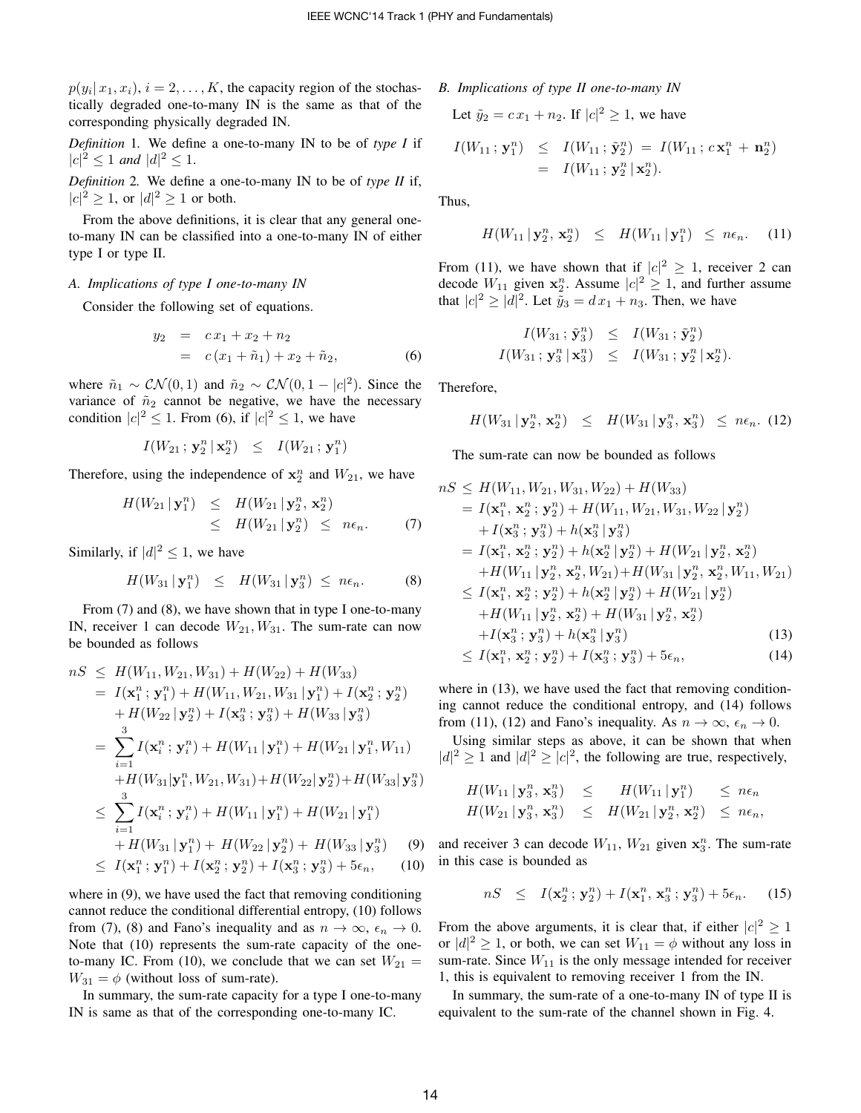$p(y_i | x_1, x_i), i = 2, \dots, K$ , the capacity region of the stochastically degraded one-to-many IN is the same as that of the corresponding physically degraded IN.

*Definition* 1*.* We define a one-to-many IN to be of *type I* if  $|c|^2 \leq 1$  *and*  $|d|^2 \leq 1$ .

*Definition* 2*.* We define a one-to-many IN to be of *type II* if,  $|c|^2 \geq 1$ , or  $|d|^2 \geq 1$  or both.

From the above definitions, it is clear that any general oneto-many IN can be classified into a one-to-many IN of either type I or type II.

## *A. Implications of type I one-to-many IN*

Consider the following set of equations.

$$
y_2 = cx_1 + x_2 + n_2
$$
  
=  $c(x_1 + \tilde{n}_1) + x_2 + \tilde{n}_2,$  (6)

where  $\tilde{n}_1 \sim \mathcal{CN}(0, 1)$  and  $\tilde{n}_2 \sim \mathcal{CN}(0, 1 - |c|^2)$ . Since the variance of  $\tilde{n}_2$  cannot be negative, we have the necessary condition  $|c|^2 \le 1$ . From (6), if  $|c|^2 \le 1$ , we have

$$
I(W_{21}\,;\,{\bf y}_2^n\,|\,{\bf x}_2^n)\quad\leq\quad I(W_{21}\,;\,{\bf y}_1^n)
$$

Therefore, using the independence of  $x_2^n$  and  $W_{21}$ , we have

$$
H(W_{21} | \mathbf{y}_1^n) \leq H(W_{21} | \mathbf{y}_2^n, \mathbf{x}_2^n)
$$
  
\n
$$
\leq H(W_{21} | \mathbf{y}_2^n) \leq n\epsilon_n.
$$
 (7)

Similarly, if  $|d|^2 \leq 1$ , we have

$$
H(W_{31} | \mathbf{y}_1^n) \leq H(W_{31} | \mathbf{y}_3^n) \leq n\epsilon_n.
$$
 (8)

From  $(7)$  and  $(8)$ , we have shown that in type I one-to-many IN, receiver 1 can decode  $W_{21}, W_{31}$ . The sum-rate can now be bounded as follows

$$
nS \leq H(W_{11}, W_{21}, W_{31}) + H(W_{22}) + H(W_{33})
$$
  
\n
$$
= I(\mathbf{x}_1^n; \mathbf{y}_1^n) + H(W_{11}, W_{21}, W_{31} | \mathbf{y}_1^n) + I(\mathbf{x}_2^n; \mathbf{y}_2^n)
$$
  
\n
$$
+ H(W_{22} | \mathbf{y}_2^n) + I(\mathbf{x}_3^n; \mathbf{y}_3^n) + H(W_{33} | \mathbf{y}_3^n)
$$
  
\n
$$
= \sum_{i=1}^3 I(\mathbf{x}_i^n; \mathbf{y}_i^n) + H(W_{11} | \mathbf{y}_1^n) + H(W_{21} | \mathbf{y}_1^n, W_{11})
$$
  
\n
$$
+ H(W_{31} | \mathbf{y}_1^n, W_{21}, W_{31}) + H(W_{22} | \mathbf{y}_2^n) + H(W_{33} | \mathbf{y}_3^n)
$$
  
\n
$$
\leq \sum_{i=1}^3 I(\mathbf{x}_i^n; \mathbf{y}_i^n) + H(W_{11} | \mathbf{y}_1^n) + H(W_{21} | \mathbf{y}_1^n)
$$
  
\n
$$
+ H(W_{31} | \mathbf{y}_1^n) + H(W_{22} | \mathbf{y}_2^n) + H(W_{33} | \mathbf{y}_3^n)
$$
  
\n
$$
\leq I(\mathbf{x}_1^n; \mathbf{y}_1^n) + I(\mathbf{x}_2^n; \mathbf{y}_2^n) + I(\mathbf{x}_3^n; \mathbf{y}_3^n) + 5\epsilon_n, \quad (10)
$$

where in  $(9)$ , we have used the fact that removing conditioning cannot reduce the conditional differential entropy, (10) follows from (7), (8) and Fano's inequality and as  $n \to \infty$ ,  $\epsilon_n \to 0$ . Note that (10) represents the sum-rate capacity of the oneto-many IC. From (10), we conclude that we can set  $W_{21}$  =  $W_{31} = \phi$  (without loss of sum-rate).

In summary, the sum-rate capacity for a type I one-to-many IN is same as that of the corresponding one-to-many IC.

*B. Implications of type II one-to-many IN*

Let  $\tilde{y}_2 = c x_1 + n_2$ . If  $|c|^2 \ge 1$ , we have

$$
I(W_{11} ; \mathbf{y}_1^n) \leq I(W_{11} ; \tilde{\mathbf{y}}_2^n) = I(W_{11} ; c \mathbf{x}_1^n + \mathbf{n}_2^n)
$$
  
=  $I(W_{11} ; \mathbf{y}_2^n | \mathbf{x}_2^n).$ 

Thus,

$$
H(W_{11} | \mathbf{y}_2^n, \mathbf{x}_2^n) \leq H(W_{11} | \mathbf{y}_1^n) \leq n\epsilon_n. \quad (11)
$$

From (11), we have shown that if  $|c|^2 \geq 1$ , receiver 2 can decode  $W_{11}$  given  $x_2^n$ . Assume  $|c|^2 \ge 1$ , and further assume that  $|c|^2 \ge |d|^2$ . Let  $\tilde{y}_3 = d x_1 + n_3$ . Then, we have

$$
I(W_{31} ; \tilde{\mathbf{y}}_3^n) \leq I(W_{31} ; \tilde{\mathbf{y}}_2^n)
$$
  

$$
I(W_{31} ; \mathbf{y}_3^n | \mathbf{x}_3^n) \leq I(W_{31} ; \mathbf{y}_2^n | \mathbf{x}_2^n).
$$

Therefore,

$$
H(W_{31} | \mathbf{y}_2^n, \mathbf{x}_2^n) \leq H(W_{31} | \mathbf{y}_3^n, \mathbf{x}_3^n) \leq n\epsilon_n. (12)
$$

The sum-rate can now be bounded as follows

$$
nS \leq H(W_{11}, W_{21}, W_{31}, W_{22}) + H(W_{33})
$$
  
\n
$$
= I(\mathbf{x}_1^n, \mathbf{x}_2^n; \mathbf{y}_2^n) + H(W_{11}, W_{21}, W_{31}, W_{22} | \mathbf{y}_2^n)
$$
  
\n
$$
+ I(\mathbf{x}_3^n; \mathbf{y}_3^n) + h(\mathbf{x}_3^n | \mathbf{y}_3^n)
$$
  
\n
$$
= I(\mathbf{x}_1^n, \mathbf{x}_2^n; \mathbf{y}_2^n) + h(\mathbf{x}_2^n | \mathbf{y}_2^n) + H(W_{21} | \mathbf{y}_2^n, \mathbf{x}_2^n)
$$
  
\n
$$
+ H(W_{11} | \mathbf{y}_2^n, \mathbf{x}_2^n, W_{21}) + H(W_{31} | \mathbf{y}_2^n, \mathbf{x}_2^n, W_{11}, W_{21})
$$
  
\n
$$
\leq I(\mathbf{x}_1^n, \mathbf{x}_2^n; \mathbf{y}_2^n) + h(\mathbf{x}_2^n | \mathbf{y}_2^n) + H(W_{21} | \mathbf{y}_2^n)
$$
  
\n
$$
+ H(W_{11} | \mathbf{y}_2^n, \mathbf{x}_2^n) + H(W_{31} | \mathbf{y}_2^n, \mathbf{x}_2^n)
$$
  
\n
$$
+ I(\mathbf{x}_3^n; \mathbf{y}_3^n) + h(\mathbf{x}_3^n | \mathbf{y}_3^n)
$$
  
\n
$$
\leq I(\mathbf{x}_1^n, \mathbf{x}_2^n; \mathbf{y}_2^n) + I(\mathbf{x}_3^n; \mathbf{y}_3^n) + 5\epsilon_n,
$$
  
\n(14)

where in  $(13)$ , we have used the fact that removing conditioning cannot reduce the conditional entropy, and (14) follows from (11), (12) and Fano's inequality. As  $n \to \infty$ ,  $\epsilon_n \to 0$ .

Using similar steps as above, it can be shown that when  $|d|^2 \geq 1$  and  $|d|^2 \geq |c|^2$ , the following are true, respectively,

$$
H(W_{11} | \mathbf{y}_3^n, \mathbf{x}_3^n) \leq H(W_{11} | \mathbf{y}_1^n) \leq n\epsilon_n
$$
  

$$
H(W_{21} | \mathbf{y}_3^n, \mathbf{x}_3^n) \leq H(W_{21} | \mathbf{y}_2^n, \mathbf{x}_2^n) \leq n\epsilon_n,
$$

and receiver 3 can decode  $W_{11}$ ,  $W_{21}$  given  $x_3^n$ . The sum-rate in this case is bounded as

$$
nS \leq I(\mathbf{x}_2^n; \mathbf{y}_2^n) + I(\mathbf{x}_1^n, \mathbf{x}_3^n; \mathbf{y}_3^n) + 5\epsilon_n. \tag{15}
$$

From the above arguments, it is clear that, if either  $|c|^2 \ge 1$ or  $|d|^2 \ge 1$ , or both, we can set  $W_{11} = \phi$  without any loss in sum-rate. Since  $W_{11}$  is the only message intended for receiver 1, this is equivalent to removing receiver 1 from the IN.

In summary, the sum-rate of a one-to-many IN of type II is equivalent to the sum-rate of the channel shown in Fig. 4.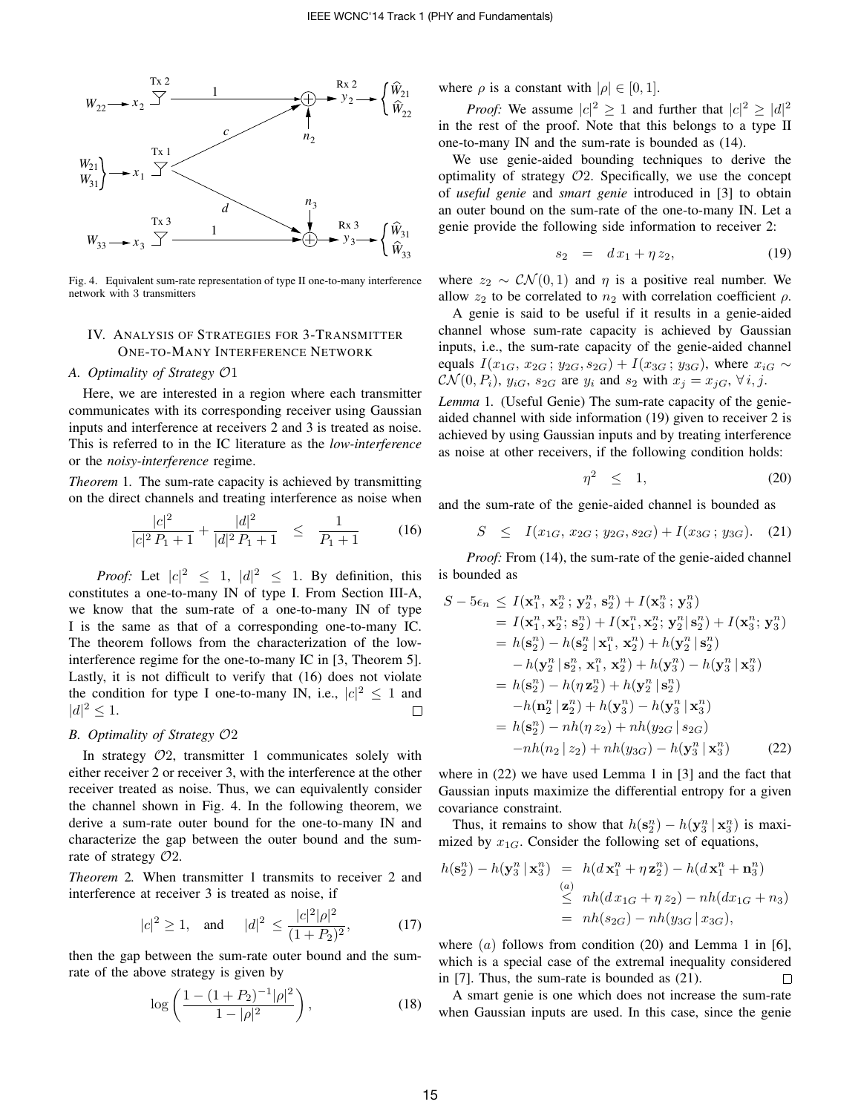

Fig. 4. Equivalent sum-rate representation of type II one-to-many interference network with 3 transmitters

## IV. ANALYSIS OF STRATEGIES FOR 3-TRANSMITTER ONE-TO-MANY INTERFERENCE NETWORK

## *A. Optimality of Strategy* O1

Here, we are interested in a region where each transmitter communicates with its corresponding receiver using Gaussian inputs and interference at receivers 2 and 3 is treated as noise. This is referred to in the IC literature as the *low-interference* or the *noisy-interference* regime.

*Theorem* 1*.* The sum-rate capacity is achieved by transmitting on the direct channels and treating interference as noise when

$$
\frac{|c|^2}{|c|^2 P_1 + 1} + \frac{|d|^2}{|d|^2 P_1 + 1} \le \frac{1}{P_1 + 1} \tag{16}
$$

*Proof:* Let  $|c|^2 \leq 1$ ,  $|d|^2 \leq 1$ . By definition, this constitutes a one-to-many IN of type I. From Section III-A, we know that the sum-rate of a one-to-many IN of type I is the same as that of a corresponding one-to-many IC. The theorem follows from the characterization of the lowinterference regime for the one-to-many IC in [3, Theorem 5]. Lastly, it is not difficult to verify that (16) does not violate the condition for type I one-to-many IN, i.e.,  $|c|^2 \le 1$  and  $|d|^2 \leq 1.$  $\Box$ 

## *B. Optimality of Strategy* O2

In strategy  $O2$ , transmitter 1 communicates solely with either receiver 2 or receiver 3, with the interference at the other receiver treated as noise. Thus, we can equivalently consider the channel shown in Fig. 4. In the following theorem, we derive a sum-rate outer bound for the one-to-many IN and characterize the gap between the outer bound and the sumrate of strategy  $O2$ .

*Theorem* 2*.* When transmitter 1 transmits to receiver 2 and interference at receiver 3 is treated as noise, if

$$
|c|^2 \ge 1
$$
, and  $|d|^2 \le \frac{|c|^2|\rho|^2}{(1+P_2)^2}$ , (17)

then the gap between the sum-rate outer bound and the sumrate of the above strategy is given by

$$
\log\left(\frac{1-(1+P_2)^{-1}|\rho|^2}{1-|\rho|^2}\right),\tag{18}
$$

where  $\rho$  is a constant with  $|\rho| \in [0, 1]$ .

*Proof:* We assume  $|c|^2 \ge 1$  and further that  $|c|^2 \ge |d|^2$ in the rest of the proof. Note that this belongs to a type II one-to-many IN and the sum-rate is bounded as (14).

We use genie-aided bounding techniques to derive the optimality of strategy  $O2$ . Specifically, we use the concept of *useful genie* and *smart genie* introduced in [3] to obtain an outer bound on the sum-rate of the one-to-many IN. Let a genie provide the following side information to receiver 2:

$$
s_2 = dx_1 + \eta z_2, \t\t(19)
$$

where  $z_2 \sim \mathcal{CN}(0, 1)$  and  $\eta$  is a positive real number. We allow  $z_2$  to be correlated to  $n_2$  with correlation coefficient  $\rho$ .

A genie is said to be useful if it results in a genie-aided channel whose sum-rate capacity is achieved by Gaussian inputs, i.e., the sum-rate capacity of the genie-aided channel equals  $I(x_{1G}, x_{2G}; y_{2G}, s_{2G}) + I(x_{3G}; y_{3G})$ , where  $x_{iG} \sim$  $\mathcal{CN}(0, P_i)$ ,  $y_{iG}$ ,  $s_{2G}$  are  $y_i$  and  $s_2$  with  $x_j = x_{iG}$ ,  $\forall i, j$ .

*Lemma* 1*.* (Useful Genie) The sum-rate capacity of the genieaided channel with side information (19) given to receiver 2 is achieved by using Gaussian inputs and by treating interference as noise at other receivers, if the following condition holds:

$$
\eta^2 \leq 1,\tag{20}
$$

and the sum-rate of the genie-aided channel is bounded as

$$
S \leq I(x_{1G}, x_{2G}; y_{2G}, s_{2G}) + I(x_{3G}; y_{3G}). \quad (21)
$$

*Proof:* From (14), the sum-rate of the genie-aided channel is bounded as

$$
S - 5\epsilon_n \leq I(\mathbf{x}_1^n, \mathbf{x}_2^n; \mathbf{y}_2^n, \mathbf{s}_2^n) + I(\mathbf{x}_3^n; \mathbf{y}_3^n)
$$
  
\n
$$
= I(\mathbf{x}_1^n, \mathbf{x}_2^n; \mathbf{s}_2^n) + I(\mathbf{x}_1^n, \mathbf{x}_2^n; \mathbf{y}_2^n | \mathbf{s}_2^n) + I(\mathbf{x}_3^n; \mathbf{y}_3^n)
$$
  
\n
$$
= h(\mathbf{s}_2^n) - h(\mathbf{s}_2^n | \mathbf{x}_1^n, \mathbf{x}_2^n) + h(\mathbf{y}_2^n | \mathbf{s}_2^n)
$$
  
\n
$$
- h(\mathbf{y}_2^n | \mathbf{s}_2^n, \mathbf{x}_1^n, \mathbf{x}_2^n) + h(\mathbf{y}_3^n) - h(\mathbf{y}_3^n | \mathbf{x}_3^n)
$$
  
\n
$$
= h(\mathbf{s}_2^n) - h(\eta \mathbf{z}_2^n) + h(\mathbf{y}_2^n | \mathbf{s}_2^n)
$$
  
\n
$$
- h(\mathbf{n}_2^n | \mathbf{z}_2^n) + h(\mathbf{y}_3^n) - h(\mathbf{y}_3^n | \mathbf{x}_3^n)
$$
  
\n
$$
= h(\mathbf{s}_2^n) - nh(\eta z_2) + nh(y_{2G} | s_{2G})
$$
  
\n
$$
-nh(n_2 | z_2) + nh(y_{3G}) - h(\mathbf{y}_3^n | \mathbf{x}_3^n)
$$
 (22)

where in (22) we have used Lemma 1 in [3] and the fact that Gaussian inputs maximize the differential entropy for a given covariance constraint.

Thus, it remains to show that  $h(\mathbf{s}_2^n) - h(\mathbf{y}_3^n | \mathbf{x}_3^n)$  is maximized by  $x_{1G}$ . Consider the following set of equations,

$$
h(\mathbf{s}_2^n) - h(\mathbf{y}_3^n \mid \mathbf{x}_3^n) = h(d\mathbf{x}_1^n + \eta \mathbf{z}_2^n) - h(d\mathbf{x}_1^n + \mathbf{n}_3^n)
$$
  
\n
$$
\leq h(d\mathbf{x}_{1G} + \eta \mathbf{z}_2) - nh(dx_{1G} + n_3)
$$
  
\n
$$
= nh(s_{2G}) - nh(y_{3G} \mid x_{3G}),
$$

where  $(a)$  follows from condition (20) and Lemma 1 in [6], which is a special case of the extremal inequality considered in [7]. Thus, the sum-rate is bounded as (21). П

A smart genie is one which does not increase the sum-rate when Gaussian inputs are used. In this case, since the genie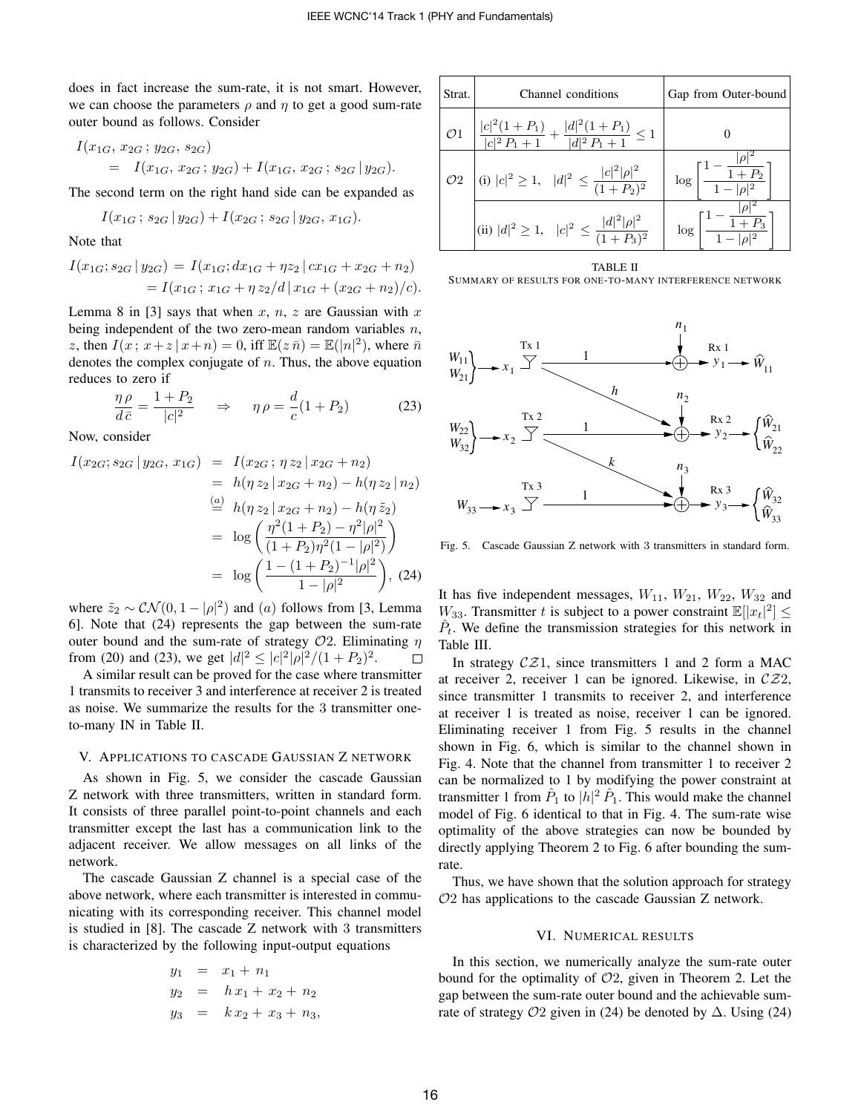does in fact increase the sum-rate, it is not smart. However, we can choose the parameters  $\rho$  and  $\eta$  to get a good sum-rate outer bound as follows. Consider

$$
I(x_{1G}, x_{2G}; y_{2G}, s_{2G})
$$
  
=  $I(x_{1G}, x_{2G}; y_{2G}) + I(x_{1G}, x_{2G}; s_{2G} | y_{2G}).$ 

The second term on the right hand side can be expanded as

$$
I(x_{1G}; s_{2G} | y_{2G}) + I(x_{2G}; s_{2G} | y_{2G}, x_{1G}).
$$

Note that

$$
I(x_{1G}; s_{2G} | y_{2G}) = I(x_{1G}; dx_{1G} + \eta z_2 | cx_{1G} + x_{2G} + n_2)
$$
  
=  $I(x_{1G}; x_{1G} + \eta z_2 / d | x_{1G} + (x_{2G} + n_2) / c).$ 

Lemma 8 in [3] says that when x, n, z are Gaussian with x being independent of the two zero-mean random variables  $n$ , z, then  $I(x; x+z | x+n) = 0$ , iff  $\mathbb{E}(z \bar{n}) = \mathbb{E}(|n|^2)$ , where  $\bar{n}$ denotes the complex conjugate of  $n$ . Thus, the above equation reduces to zero if

$$
\frac{\eta \rho}{d\bar{c}} = \frac{1+P_2}{|c|^2} \quad \Rightarrow \quad \eta \rho = \frac{d}{c}(1+P_2) \tag{23}
$$

Now, consider

$$
I(x_{2G}; s_{2G} | y_{2G}, x_{1G}) = I(x_{2G}; \eta z_2 | x_{2G} + n_2)
$$
  
=  $h(\eta z_2 | x_{2G} + n_2) - h(\eta z_2 | n_2)$   

$$
\stackrel{(a)}{=} h(\eta z_2 | x_{2G} + n_2) - h(\eta \tilde{z}_2)
$$
  
=  $\log \left( \frac{\eta^2 (1 + P_2) - \eta^2 |\rho|^2}{(1 + P_2) \eta^2 (1 - |\rho|^2)} \right)$   
=  $\log \left( \frac{1 - (1 + P_2)^{-1} |\rho|^2}{1 - |\rho|^2} \right), (24)$ 

where  $\tilde{z}_2 \sim \mathcal{CN}(0, 1 - |\rho|^2)$  and  $(a)$  follows from [3, Lemma 6]. Note that (24) represents the gap between the sum-rate outer bound and the sum-rate of strategy  $O2$ . Eliminating  $\eta$ from (20) and (23), we get  $|d|^2 \le |c|^2 |\rho|^2/(1+P_2)^2$ .  $\Box$ 

A similar result can be proved for the case where transmitter 1 transmits to receiver 3 and interference at receiver 2 is treated as noise. We summarize the results for the 3 transmitter oneto-many IN in Table II.

## V. APPLICATIONS TO CASCADE GAUSSIAN Z NETWORK

As shown in Fig. 5, we consider the cascade Gaussian Z network with three transmitters, written in standard form. It consists of three parallel point-to-point channels and each transmitter except the last has a communication link to the adjacent receiver. We allow messages on all links of the network.

The cascade Gaussian Z channel is a special case of the above network, where each transmitter is interested in communicating with its corresponding receiver. This channel model is studied in [8]. The cascade Z network with 3 transmitters is characterized by the following input-output equations

$$
y_1 = x_1 + n_1
$$
  
\n
$$
y_2 = h x_1 + x_2 + n_2
$$
  
\n
$$
y_3 = k x_2 + x_3 + n_3
$$

| Strat.         | Channel conditions                                                                              | Gap from Outer-bound                                             |  |  |
|----------------|-------------------------------------------------------------------------------------------------|------------------------------------------------------------------|--|--|
| $\mathcal{O}1$ | $\left  \frac{ c ^2(1+P_1)}{ c ^2 P_1 + 1} + \frac{ d ^2(1+P_1)}{ d ^2 P_1 + 1} \right  \leq 1$ |                                                                  |  |  |
|                | $\mathcal{O}2$ (i) $ c ^2 \geq 1$ , $ d ^2 \leq \frac{ c ^2 \rho ^2}{(1+P_2)^2}$                | $\log \left[ \frac{1 - \frac{1}{1 + P_2}}{1 -  \rho ^2} \right]$ |  |  |
|                | (ii) $ d ^2 \ge 1$ , $ c ^2 \le \frac{ d ^2  \rho ^2}{(1+P_3)^2}$                               | $\log \left[\frac{1 - \frac{1}{1 + P_3}}{1 -  \rho ^2}\right]$   |  |  |

TABLE II SUMMARY OF RESULTS FOR ONE-TO-MANY INTERFERENCE NETWORK



Fig. 5. Cascade Gaussian Z network with 3 transmitters in standard form.

It has five independent messages,  $W_{11}$ ,  $W_{21}$ ,  $W_{22}$ ,  $W_{32}$  and  $W_{33}$ . Transmitter t is subject to a power constraint  $\mathbb{E}[|x_t|^2] \leq$  $\hat{P}_t$ . We define the transmission strategies for this network in Table III.

In strategy  $CZ1$ , since transmitters 1 and 2 form a MAC at receiver 2, receiver 1 can be ignored. Likewise, in  $CZ2$ , since transmitter 1 transmits to receiver 2, and interference at receiver 1 is treated as noise, receiver 1 can be ignored. Eliminating receiver 1 from Fig. 5 results in the channel shown in Fig. 6, which is similar to the channel shown in Fig. 4. Note that the channel from transmitter 1 to receiver 2 can be normalized to 1 by modifying the power constraint at transmitter 1 from  $\hat{P}_1$  to  $|h|^2 \hat{P}_1$ . This would make the channel model of Fig. 6 identical to that in Fig. 4. The sum-rate wise optimality of the above strategies can now be bounded by directly applying Theorem 2 to Fig. 6 after bounding the sumrate.

Thus, we have shown that the solution approach for strategy O2 has applications to the cascade Gaussian Z network.

#### VI. NUMERICAL RESULTS

In this section, we numerically analyze the sum-rate outer bound for the optimality of  $O2$ , given in Theorem 2. Let the gap between the sum-rate outer bound and the achievable sumrate of strategy  $O2$  given in (24) be denoted by  $\Delta$ . Using (24)